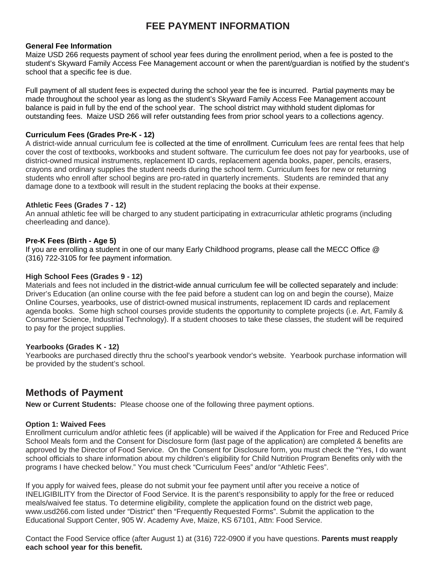# **FEE PAYMENT INFORMATION**

#### **General Fee Information**

Maize USD 266 requests payment of school year fees during the enrollment period, when a fee is posted to the student's Skyward Family Access Fee Management account or when the parent/guardian is notified by the student's school that a specific fee is due.

Full payment of all student fees is expected during the school year the fee is incurred. Partial payments may be made throughout the school year as long as the student's Skyward Family Access Fee Management account balance is paid in full by the end of the school year. The school district may withhold student diplomas for outstanding fees. Maize USD 266 will refer outstanding fees from prior school years to a collections agency.

#### **Curriculum Fees (Grades Pre-K - 12)**

A district-wide annual curriculum fee is collected at the time of enrollment. Curriculum fees are rental fees that help cover the cost of textbooks, workbooks and student software. The curriculum fee does not pay for yearbooks, use of district-owned musical instruments, replacement ID cards, replacement agenda books, paper, pencils, erasers, crayons and ordinary supplies the student needs during the school term. Curriculum fees for new or returning students who enroll after school begins are pro-rated in quarterly increments. Students are reminded that any damage done to a textbook will result in the student replacing the books at their expense.

#### **Athletic Fees (Grades 7 - 12)**

An annual athletic fee will be charged to any student participating in extracurricular athletic programs (including cheerleading and dance).

### **Pre-K Fees (Birth - Age 5)**

If you are enrolling a student in one of our many Early Childhood programs, please call the MECC Office @ (316) 722-3105 for fee payment information.

#### **High School Fees (Grades 9 - 12)**

Materials and fees not included in the district-wide annual curriculum fee will be collected separately and include: Driver's Education (an online course with the fee paid before a student can log on and begin the course), Maize Online Courses, yearbooks, use of district-owned musical instruments, replacement ID cards and replacement agenda books. Some high school courses provide students the opportunity to complete projects (i.e. Art, Family & Consumer Science, Industrial Technology). If a student chooses to take these classes, the student will be required to pay for the project supplies.

#### **Yearbooks (Grades K - 12)**

Yearbooks are purchased directly thru the school's yearbook vendor's website. Yearbook purchase information will be provided by the student's school.

# **Methods of Payment**

**New or Current Students:** Please choose one of the following three payment options.

#### **Option 1: Waived Fees**

Enrollment curriculum and/or athletic fees (if applicable) will be waived if the Application for Free and Reduced Price School Meals form and the Consent for Disclosure form (last page of the application) are completed & benefits are approved by the Director of Food Service. On the Consent for Disclosure form, you must check the "Yes, I do want school officials to share information about my children's eligibility for Child Nutrition Program Benefits only with the programs I have checked below." You must check "Curriculum Fees" and/or "Athletic Fees".

If you apply for waived fees, please do not submit your fee payment until after you receive a notice of INELIGIBILITY from the Director of Food Service. It is the parent's responsibility to apply for the free or reduced meals/waived fee status. To determine eligibility, complete the application found on the district web page, www.usd266.com listed under "District" then "Frequently Requested Forms". Submit the application to the Educational Support Center, 905 W. Academy Ave, Maize, KS 67101, Attn: Food Service.

Contact the Food Service office (after August 1) at (316) 722-0900 if you have questions. **Parents must reapply each school year for this benefit.**